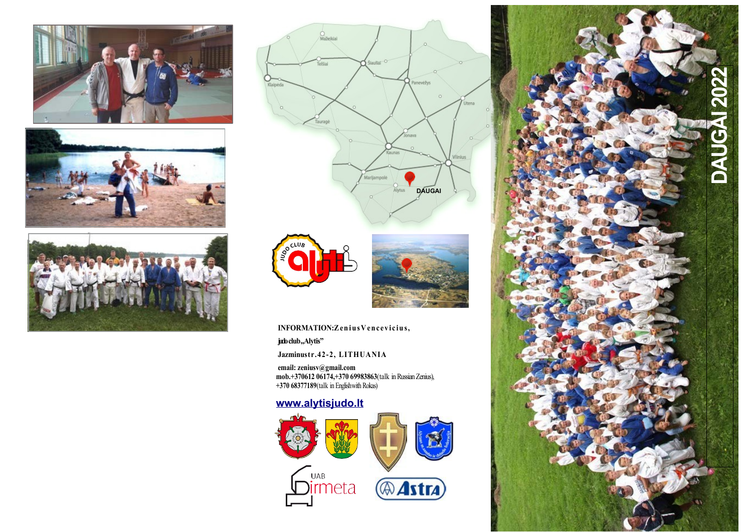







INFORMATION: Zenius Vencevicius,

judo club,,Alytis"

**Jazminustr.42-2, LITHUANIA**

**email: zeniusv@gmail.com mob.+370612 06174,+370 69983863**(talk in Russian Zenius), **+370 68377189**(talk in Englishwith Rokas)

## **[www.alytisjudo.lt](http://www.alytisjudo.lt/)**





**Astra**